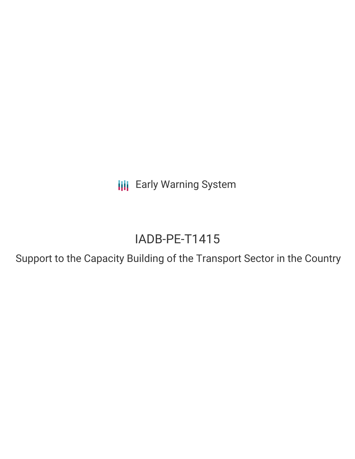**III** Early Warning System

# IADB-PE-T1415

Support to the Capacity Building of the Transport Sector in the Country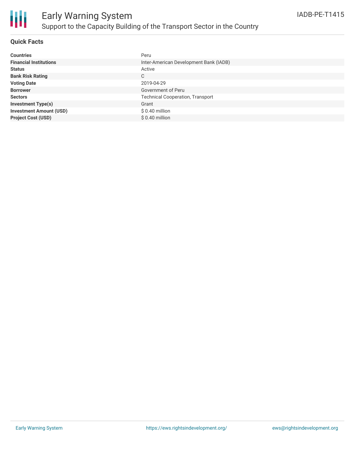

#### **Quick Facts**

| <b>Countries</b>               | Peru                                    |
|--------------------------------|-----------------------------------------|
| <b>Financial Institutions</b>  | Inter-American Development Bank (IADB)  |
| <b>Status</b>                  | Active                                  |
| <b>Bank Risk Rating</b>        | C                                       |
| <b>Voting Date</b>             | 2019-04-29                              |
| <b>Borrower</b>                | Government of Peru                      |
| <b>Sectors</b>                 | <b>Technical Cooperation, Transport</b> |
| <b>Investment Type(s)</b>      | Grant                                   |
| <b>Investment Amount (USD)</b> | $$0.40$ million                         |
| <b>Project Cost (USD)</b>      | $$0.40$ million                         |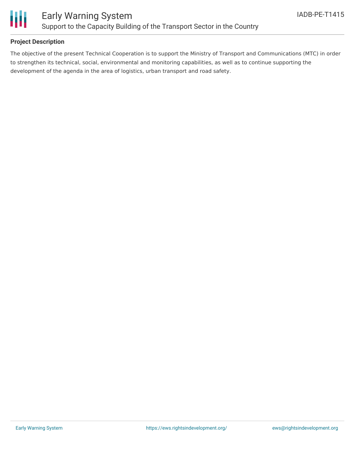

#### **Project Description**

The objective of the present Technical Cooperation is to support the Ministry of Transport and Communications (MTC) in order to strengthen its technical, social, environmental and monitoring capabilities, as well as to continue supporting the development of the agenda in the area of logistics, urban transport and road safety.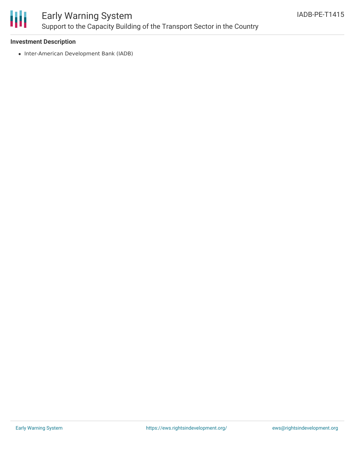

## Early Warning System Support to the Capacity Building of the Transport Sector in the Country

#### **Investment Description**

• Inter-American Development Bank (IADB)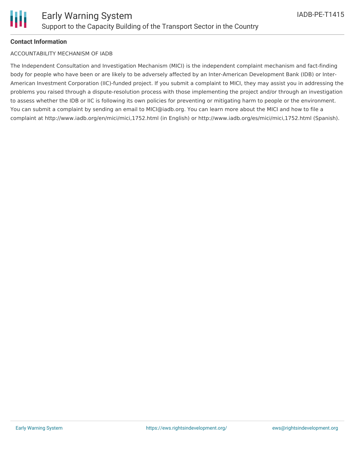

#### **Contact Information**

#### ACCOUNTABILITY MECHANISM OF IADB

The Independent Consultation and Investigation Mechanism (MICI) is the independent complaint mechanism and fact-finding body for people who have been or are likely to be adversely affected by an Inter-American Development Bank (IDB) or Inter-American Investment Corporation (IIC)-funded project. If you submit a complaint to MICI, they may assist you in addressing the problems you raised through a dispute-resolution process with those implementing the project and/or through an investigation to assess whether the IDB or IIC is following its own policies for preventing or mitigating harm to people or the environment. You can submit a complaint by sending an email to MICI@iadb.org. You can learn more about the MICI and how to file a complaint at http://www.iadb.org/en/mici/mici,1752.html (in English) or http://www.iadb.org/es/mici/mici,1752.html (Spanish).